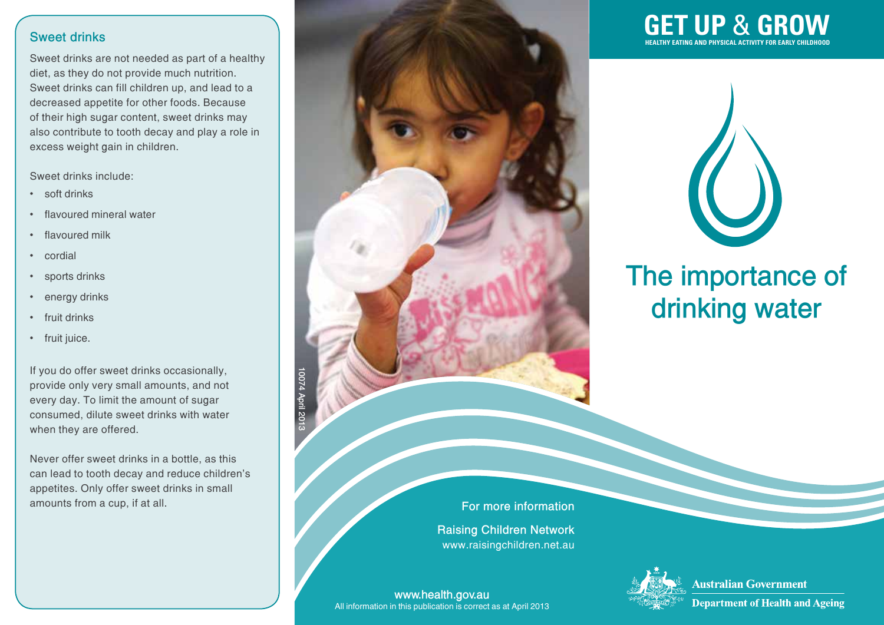#### **Sweet drinks**

Sweet drinks are not needed as part of a healthy diet, as they do not provide much nutrition. Sweet drinks can fill children up, and lead to a decreased appetite for other foods. Because of their high sugar content, sweet drinks may also contribute to tooth decay and play a role in excess weight gain in children.

Sweet drinks include:

- soft drinks
- flavoured mineral water
- flavoured milk
- • cordial
- sports drinks
- energy drinks
- fruit drinks
- fruit juice.

If you do offer sweet drinks occasionally, provide only very small amounts, and not every day. To limit the amount of sugar consumed, dilute sweet drinks with water when they are offered.

Never offer sweet drinks in a bottle, as this can lead to tooth decay and reduce children's appetites. Only offer sweet drinks in small amounts from a cup, if at all.



## **GET UP**  & **GROW HEALTHY EATING AND PHYSICAL ACTIVITY FOR EARLY CHILDHOOD**



# **The importance of drinking water**



**www.health.gov.au** All information in this publication is correct as at April 2013